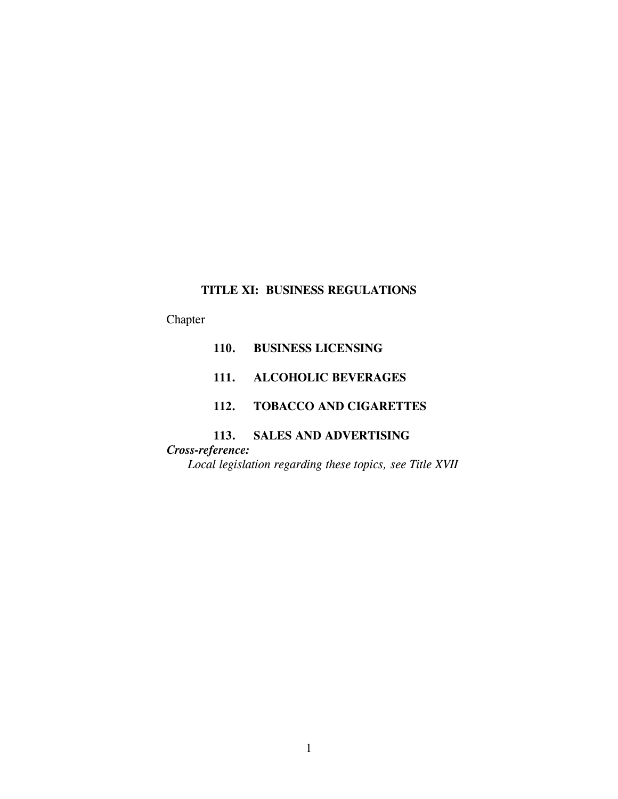# **TITLE XI: BUSINESS REGULATIONS**

# Chapter

- **110. BUSINESS LICENSING**
- **111. ALCOHOLIC BEVERAGES**

# **112. TOBACCO AND CIGARETTES**

# **113. SALES AND ADVERTISING**

*Cross-reference: Local legislation regarding these topics, see Title XVII*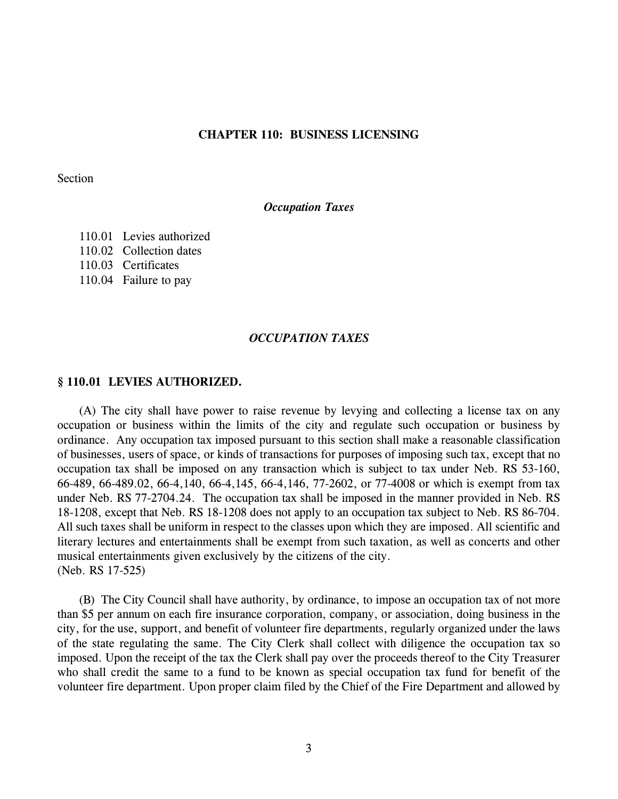## **CHAPTER 110: BUSINESS LICENSING**

Section

## *Occupation Taxes*

110.01 Levies authorized 110.02 Collection dates 110.03 Certificates 110.04 Failure to pay

#### *OCCUPATION TAXES*

#### **§ 110.01 LEVIES AUTHORIZED.**

(A) The city shall have power to raise revenue by levying and collecting a license tax on any occupation or business within the limits of the city and regulate such occupation or business by ordinance. Any occupation tax imposed pursuant to this section shall make a reasonable classification of businesses, users of space, or kinds of transactions for purposes of imposing such tax, except that no occupation tax shall be imposed on any transaction which is subject to tax under Neb. RS 53-160, 66-489, 66-489.02, 66-4,140, 66-4,145, 66-4,146, 77-2602, or 77-4008 or which is exempt from tax under Neb. RS 77-2704.24. The occupation tax shall be imposed in the manner provided in Neb. RS 18-1208, except that Neb. RS 18-1208 does not apply to an occupation tax subject to Neb. RS 86-704. All such taxes shall be uniform in respect to the classes upon which they are imposed. All scientific and literary lectures and entertainments shall be exempt from such taxation, as well as concerts and other musical entertainments given exclusively by the citizens of the city. (Neb. RS 17-525)

(B) The City Council shall have authority, by ordinance, to impose an occupation tax of not more than \$5 per annum on each fire insurance corporation, company, or association, doing business in the city, for the use, support, and benefit of volunteer fire departments, regularly organized under the laws of the state regulating the same. The City Clerk shall collect with diligence the occupation tax so imposed. Upon the receipt of the tax the Clerk shall pay over the proceeds thereof to the City Treasurer who shall credit the same to a fund to be known as special occupation tax fund for benefit of the volunteer fire department. Upon proper claim filed by the Chief of the Fire Department and allowed by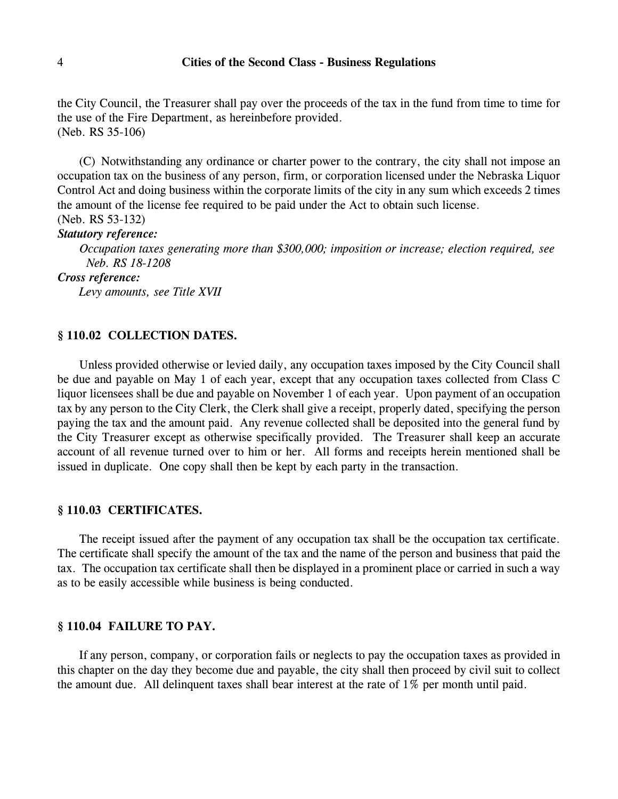the City Council, the Treasurer shall pay over the proceeds of the tax in the fund from time to time for the use of the Fire Department, as hereinbefore provided. (Neb. RS 35-106)

(C) Notwithstanding any ordinance or charter power to the contrary, the city shall not impose an occupation tax on the business of any person, firm, or corporation licensed under the Nebraska Liquor Control Act and doing business within the corporate limits of the city in any sum which exceeds 2 times the amount of the license fee required to be paid under the Act to obtain such license. (Neb. RS 53-132)

## *Statutory reference:*

*Occupation taxes generating more than \$300,000; imposition or increase; election required, see Neb. RS 18-1208*

*Cross reference:*

*Levy amounts, see Title XVII*

## **§ 110.02 COLLECTION DATES.**

Unless provided otherwise or levied daily, any occupation taxes imposed by the City Council shall be due and payable on May 1 of each year, except that any occupation taxes collected from Class C liquor licensees shall be due and payable on November 1 of each year. Upon payment of an occupation tax by any person to the City Clerk, the Clerk shall give a receipt, properly dated, specifying the person paying the tax and the amount paid. Any revenue collected shall be deposited into the general fund by the City Treasurer except as otherwise specifically provided. The Treasurer shall keep an accurate account of all revenue turned over to him or her. All forms and receipts herein mentioned shall be issued in duplicate. One copy shall then be kept by each party in the transaction.

## **§ 110.03 CERTIFICATES.**

The receipt issued after the payment of any occupation tax shall be the occupation tax certificate. The certificate shall specify the amount of the tax and the name of the person and business that paid the tax. The occupation tax certificate shall then be displayed in a prominent place or carried in such a way as to be easily accessible while business is being conducted.

# **§ 110.04 FAILURE TO PAY.**

If any person, company, or corporation fails or neglects to pay the occupation taxes as provided in this chapter on the day they become due and payable, the city shall then proceed by civil suit to collect the amount due. All delinquent taxes shall bear interest at the rate of 1% per month until paid.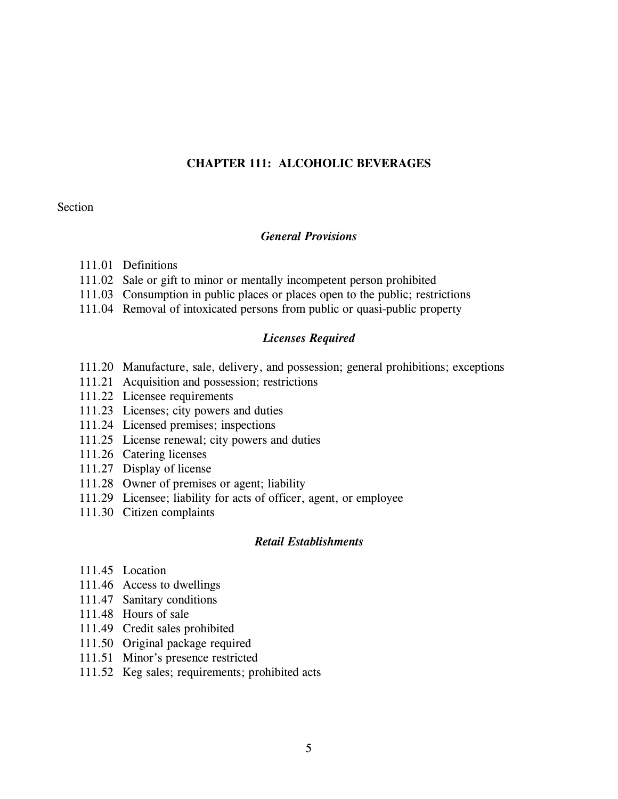# **CHAPTER 111: ALCOHOLIC BEVERAGES**

# **Section**

## *General Provisions*

- 111.01 Definitions
- 111.02 Sale or gift to minor or mentally incompetent person prohibited
- 111.03 Consumption in public places or places open to the public; restrictions
- 111.04 Removal of intoxicated persons from public or quasi-public property

## *Licenses Required*

- 111.20 Manufacture, sale, delivery, and possession; general prohibitions; exceptions
- 111.21 Acquisition and possession; restrictions
- 111.22 Licensee requirements
- 111.23 Licenses; city powers and duties
- 111.24 Licensed premises; inspections
- 111.25 License renewal; city powers and duties
- 111.26 Catering licenses
- 111.27 Display of license
- 111.28 Owner of premises or agent; liability
- 111.29 Licensee; liability for acts of officer, agent, or employee
- 111.30 Citizen complaints

#### *Retail Establishments*

- 111.45 Location
- 111.46 Access to dwellings
- 111.47 Sanitary conditions
- 111.48 Hours of sale
- 111.49 Credit sales prohibited
- 111.50 Original package required
- 111.51 Minor's presence restricted
- 111.52 Keg sales; requirements; prohibited acts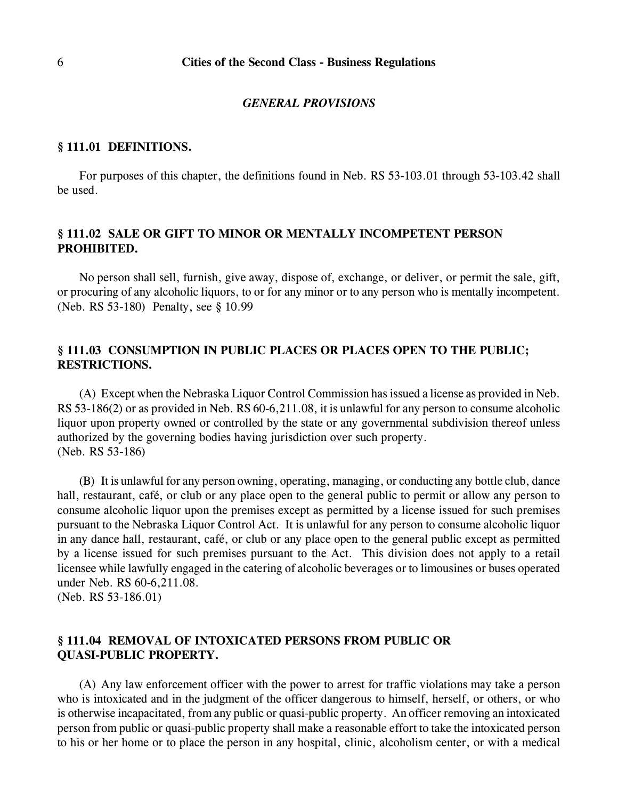#### *GENERAL PROVISIONS*

## **§ 111.01 DEFINITIONS.**

For purposes of this chapter, the definitions found in Neb. RS 53-103.01 through 53-103.42 shall be used.

# **§ 111.02 SALE OR GIFT TO MINOR OR MENTALLY INCOMPETENT PERSON PROHIBITED.**

No person shall sell, furnish, give away, dispose of, exchange, or deliver, or permit the sale, gift, or procuring of any alcoholic liquors, to or for any minor or to any person who is mentally incompetent. (Neb. RS 53-180) Penalty, see § 10.99

# **§ 111.03 CONSUMPTION IN PUBLIC PLACES OR PLACES OPEN TO THE PUBLIC; RESTRICTIONS.**

(A) Except when the Nebraska Liquor Control Commission has issued a license as provided in Neb. RS 53-186(2) or as provided in Neb. RS 60-6,211.08, it is unlawful for any person to consume alcoholic liquor upon property owned or controlled by the state or any governmental subdivision thereof unless authorized by the governing bodies having jurisdiction over such property. (Neb. RS 53-186)

(B) It is unlawful for any person owning, operating, managing, or conducting any bottle club, dance hall, restaurant, café, or club or any place open to the general public to permit or allow any person to consume alcoholic liquor upon the premises except as permitted by a license issued for such premises pursuant to the Nebraska Liquor Control Act. It is unlawful for any person to consume alcoholic liquor in any dance hall, restaurant, café, or club or any place open to the general public except as permitted by a license issued for such premises pursuant to the Act. This division does not apply to a retail licensee while lawfully engaged in the catering of alcoholic beverages or to limousines or buses operated under Neb. RS 60-6,211.08. (Neb. RS 53-186.01)

# **§ 111.04 REMOVAL OF INTOXICATED PERSONS FROM PUBLIC OR QUASI-PUBLIC PROPERTY.**

(A) Any law enforcement officer with the power to arrest for traffic violations may take a person who is intoxicated and in the judgment of the officer dangerous to himself, herself, or others, or who is otherwise incapacitated, from any public or quasi-public property. An officer removing an intoxicated person from public or quasi-public property shall make a reasonable effort to take the intoxicated person to his or her home or to place the person in any hospital, clinic, alcoholism center, or with a medical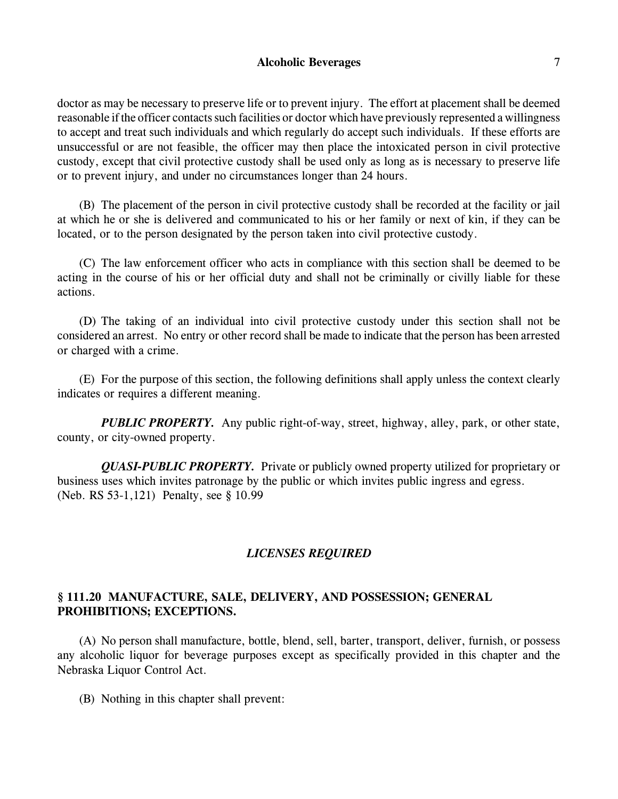# **Alcoholic Beverages** 7

doctor as may be necessary to preserve life or to prevent injury. The effort at placement shall be deemed reasonable if the officer contacts such facilities or doctor which have previously represented a willingness to accept and treat such individuals and which regularly do accept such individuals. If these efforts are unsuccessful or are not feasible, the officer may then place the intoxicated person in civil protective custody, except that civil protective custody shall be used only as long as is necessary to preserve life or to prevent injury, and under no circumstances longer than 24 hours.

(B) The placement of the person in civil protective custody shall be recorded at the facility or jail at which he or she is delivered and communicated to his or her family or next of kin, if they can be located, or to the person designated by the person taken into civil protective custody.

(C) The law enforcement officer who acts in compliance with this section shall be deemed to be acting in the course of his or her official duty and shall not be criminally or civilly liable for these actions.

(D) The taking of an individual into civil protective custody under this section shall not be considered an arrest. No entry or other record shall be made to indicate that the person has been arrested or charged with a crime.

(E) For the purpose of this section, the following definitions shall apply unless the context clearly indicates or requires a different meaning.

*PUBLIC PROPERTY.* Any public right-of-way, street, highway, alley, park, or other state, county, or city-owned property.

*QUASI-PUBLIC PROPERTY.* Private or publicly owned property utilized for proprietary or business uses which invites patronage by the public or which invites public ingress and egress. (Neb. RS 53-1,121) Penalty, see § 10.99

# *LICENSES REQUIRED*

# **§ 111.20 MANUFACTURE, SALE, DELIVERY, AND POSSESSION; GENERAL PROHIBITIONS; EXCEPTIONS.**

(A) No person shall manufacture, bottle, blend, sell, barter, transport, deliver, furnish, or possess any alcoholic liquor for beverage purposes except as specifically provided in this chapter and the Nebraska Liquor Control Act.

(B) Nothing in this chapter shall prevent: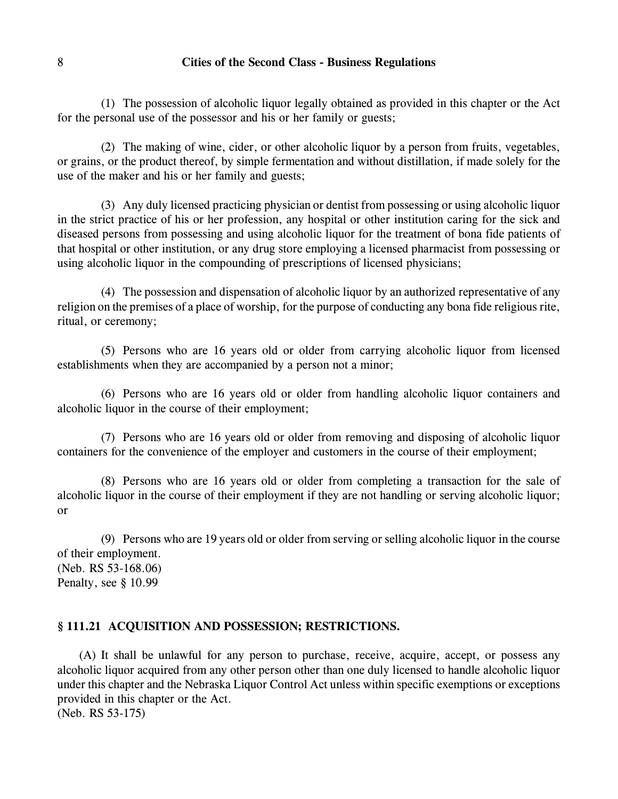(1) The possession of alcoholic liquor legally obtained as provided in this chapter or the Act for the personal use of the possessor and his or her family or guests;

(2) The making of wine, cider, or other alcoholic liquor by a person from fruits, vegetables, or grains, or the product thereof, by simple fermentation and without distillation, if made solely for the use of the maker and his or her family and guests;

(3) Any duly licensed practicing physician or dentist from possessing or using alcoholic liquor in the strict practice of his or her profession, any hospital or other institution caring for the sick and diseased persons from possessing and using alcoholic liquor for the treatment of bona fide patients of that hospital or other institution, or any drug store employing a licensed pharmacist from possessing or using alcoholic liquor in the compounding of prescriptions of licensed physicians;

(4) The possession and dispensation of alcoholic liquor by an authorized representative of any religion on the premises of a place of worship, for the purpose of conducting any bona fide religious rite, ritual, or ceremony;

(5) Persons who are 16 years old or older from carrying alcoholic liquor from licensed establishments when they are accompanied by a person not a minor;

(6) Persons who are 16 years old or older from handling alcoholic liquor containers and alcoholic liquor in the course of their employment;

(7) Persons who are 16 years old or older from removing and disposing of alcoholic liquor containers for the convenience of the employer and customers in the course of their employment;

(8) Persons who are 16 years old or older from completing a transaction for the sale of alcoholic liquor in the course of their employment if they are not handling or serving alcoholic liquor; or

(9) Persons who are 19 years old or older from serving or selling alcoholic liquor in the course of their employment. (Neb. RS 53-168.06) Penalty, see § 10.99

# **§ 111.21 ACQUISITION AND POSSESSION; RESTRICTIONS.**

(A) It shall be unlawful for any person to purchase, receive, acquire, accept, or possess any alcoholic liquor acquired from any other person other than one duly licensed to handle alcoholic liquor under this chapter and the Nebraska Liquor Control Act unless within specific exemptions or exceptions provided in this chapter or the Act. (Neb. RS 53-175)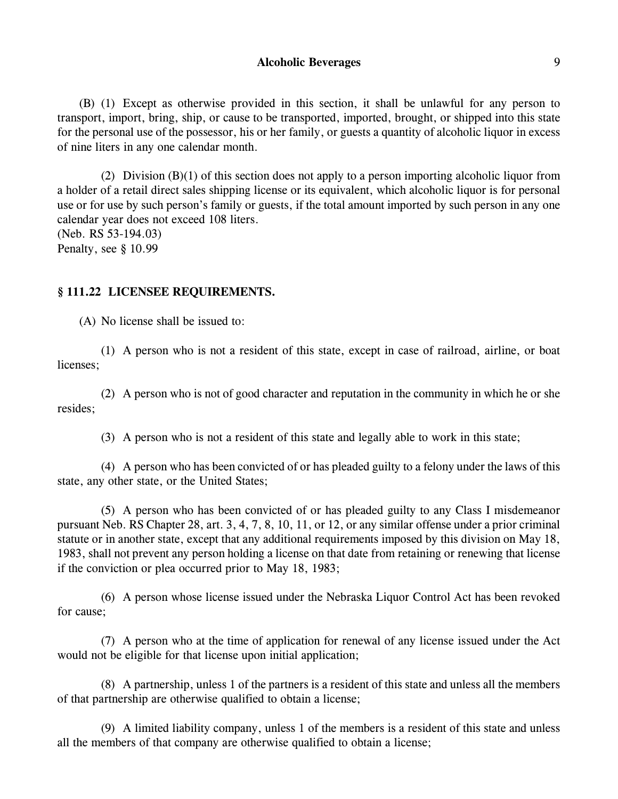## Alcoholic Beverages 9

(B) (1) Except as otherwise provided in this section, it shall be unlawful for any person to transport, import, bring, ship, or cause to be transported, imported, brought, or shipped into this state for the personal use of the possessor, his or her family, or guests a quantity of alcoholic liquor in excess of nine liters in any one calendar month.

(2) Division (B)(1) of this section does not apply to a person importing alcoholic liquor from a holder of a retail direct sales shipping license or its equivalent, which alcoholic liquor is for personal use or for use by such person's family or guests, if the total amount imported by such person in any one calendar year does not exceed 108 liters. (Neb. RS 53-194.03)

Penalty, see § 10.99

### **§ 111.22 LICENSEE REQUIREMENTS.**

(A) No license shall be issued to:

(1) A person who is not a resident of this state, except in case of railroad, airline, or boat licenses;

(2) A person who is not of good character and reputation in the community in which he or she resides;

(3) A person who is not a resident of this state and legally able to work in this state;

(4) A person who has been convicted of or has pleaded guilty to a felony under the laws of this state, any other state, or the United States;

(5) A person who has been convicted of or has pleaded guilty to any Class I misdemeanor pursuant Neb. RS Chapter 28, art. 3, 4, 7, 8, 10, 11, or 12, or any similar offense under a prior criminal statute or in another state, except that any additional requirements imposed by this division on May 18, 1983, shall not prevent any person holding a license on that date from retaining or renewing that license if the conviction or plea occurred prior to May 18, 1983;

(6) A person whose license issued under the Nebraska Liquor Control Act has been revoked for cause;

(7) A person who at the time of application for renewal of any license issued under the Act would not be eligible for that license upon initial application;

(8) A partnership, unless 1 of the partners is a resident of this state and unless all the members of that partnership are otherwise qualified to obtain a license;

(9) A limited liability company, unless 1 of the members is a resident of this state and unless all the members of that company are otherwise qualified to obtain a license;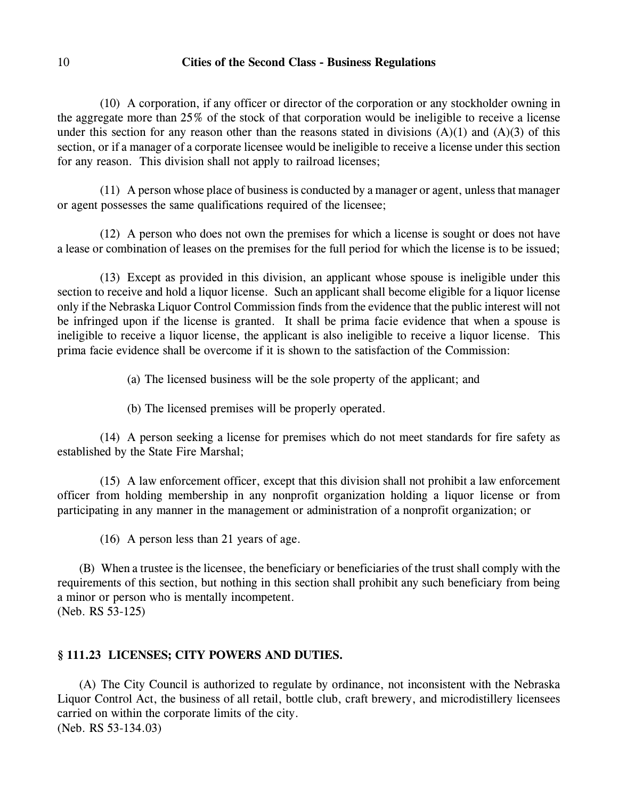(10) A corporation, if any officer or director of the corporation or any stockholder owning in the aggregate more than 25% of the stock of that corporation would be ineligible to receive a license under this section for any reason other than the reasons stated in divisions  $(A)(1)$  and  $(A)(3)$  of this section, or if a manager of a corporate licensee would be ineligible to receive a license under this section for any reason. This division shall not apply to railroad licenses;

(11) A person whose place of business is conducted by a manager or agent, unless that manager or agent possesses the same qualifications required of the licensee;

(12) A person who does not own the premises for which a license is sought or does not have a lease or combination of leases on the premises for the full period for which the license is to be issued;

(13) Except as provided in this division, an applicant whose spouse is ineligible under this section to receive and hold a liquor license. Such an applicant shall become eligible for a liquor license only if the Nebraska Liquor Control Commission finds from the evidence that the public interest will not be infringed upon if the license is granted. It shall be prima facie evidence that when a spouse is ineligible to receive a liquor license, the applicant is also ineligible to receive a liquor license. This prima facie evidence shall be overcome if it is shown to the satisfaction of the Commission:

(a) The licensed business will be the sole property of the applicant; and

(b) The licensed premises will be properly operated.

(14) A person seeking a license for premises which do not meet standards for fire safety as established by the State Fire Marshal;

(15) A law enforcement officer, except that this division shall not prohibit a law enforcement officer from holding membership in any nonprofit organization holding a liquor license or from participating in any manner in the management or administration of a nonprofit organization; or

(16) A person less than 21 years of age.

(B) When a trustee is the licensee, the beneficiary or beneficiaries of the trust shall comply with the requirements of this section, but nothing in this section shall prohibit any such beneficiary from being a minor or person who is mentally incompetent. (Neb. RS 53-125)

# **§ 111.23 LICENSES; CITY POWERS AND DUTIES.**

(A) The City Council is authorized to regulate by ordinance, not inconsistent with the Nebraska Liquor Control Act, the business of all retail, bottle club, craft brewery, and microdistillery licensees carried on within the corporate limits of the city. (Neb. RS 53-134.03)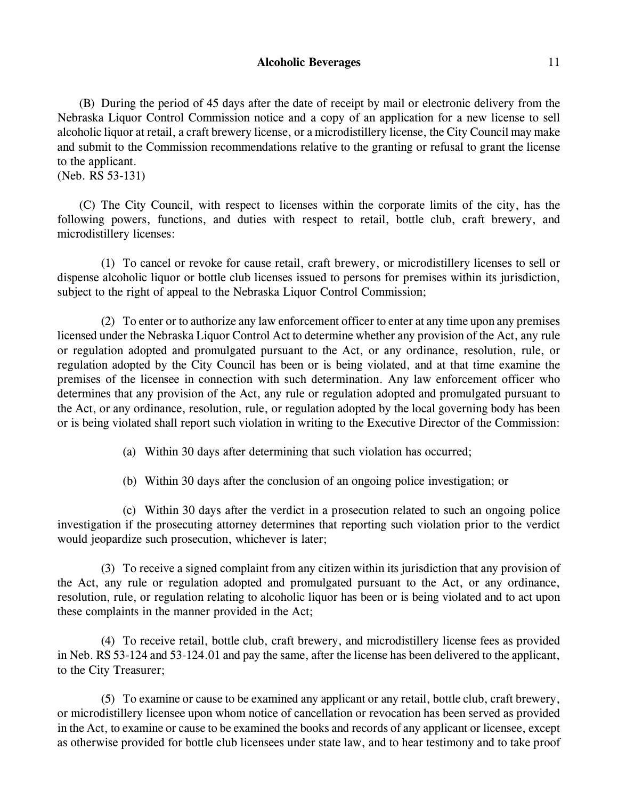# **Alcoholic Beverages** 11

(B) During the period of 45 days after the date of receipt by mail or electronic delivery from the Nebraska Liquor Control Commission notice and a copy of an application for a new license to sell alcoholic liquor at retail, a craft brewery license, or a microdistillery license, the City Council may make and submit to the Commission recommendations relative to the granting or refusal to grant the license to the applicant.

(Neb. RS 53-131)

(C) The City Council, with respect to licenses within the corporate limits of the city, has the following powers, functions, and duties with respect to retail, bottle club, craft brewery, and microdistillery licenses:

(1) To cancel or revoke for cause retail, craft brewery, or microdistillery licenses to sell or dispense alcoholic liquor or bottle club licenses issued to persons for premises within its jurisdiction, subject to the right of appeal to the Nebraska Liquor Control Commission;

(2) To enter or to authorize any law enforcement officer to enter at any time upon any premises licensed under the Nebraska Liquor Control Act to determine whether any provision of the Act, any rule or regulation adopted and promulgated pursuant to the Act, or any ordinance, resolution, rule, or regulation adopted by the City Council has been or is being violated, and at that time examine the premises of the licensee in connection with such determination. Any law enforcement officer who determines that any provision of the Act, any rule or regulation adopted and promulgated pursuant to the Act, or any ordinance, resolution, rule, or regulation adopted by the local governing body has been or is being violated shall report such violation in writing to the Executive Director of the Commission:

(a) Within 30 days after determining that such violation has occurred;

(b) Within 30 days after the conclusion of an ongoing police investigation; or

(c) Within 30 days after the verdict in a prosecution related to such an ongoing police investigation if the prosecuting attorney determines that reporting such violation prior to the verdict would jeopardize such prosecution, whichever is later;

(3) To receive a signed complaint from any citizen within its jurisdiction that any provision of the Act, any rule or regulation adopted and promulgated pursuant to the Act, or any ordinance, resolution, rule, or regulation relating to alcoholic liquor has been or is being violated and to act upon these complaints in the manner provided in the Act;

(4) To receive retail, bottle club, craft brewery, and microdistillery license fees as provided in Neb. RS 53-124 and 53-124.01 and pay the same, after the license has been delivered to the applicant, to the City Treasurer;

(5) To examine or cause to be examined any applicant or any retail, bottle club, craft brewery, or microdistillery licensee upon whom notice of cancellation or revocation has been served as provided in the Act, to examine or cause to be examined the books and records of any applicant or licensee, except as otherwise provided for bottle club licensees under state law, and to hear testimony and to take proof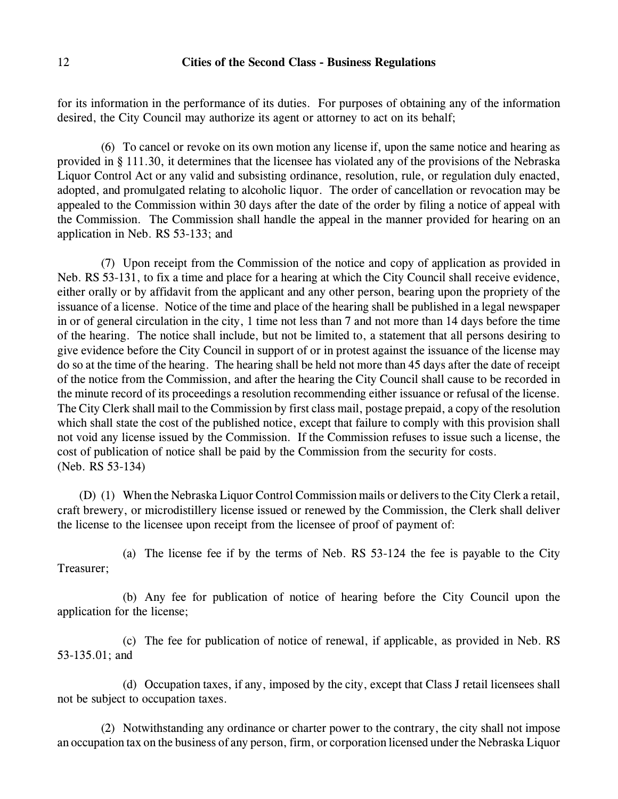for its information in the performance of its duties. For purposes of obtaining any of the information desired, the City Council may authorize its agent or attorney to act on its behalf;

(6) To cancel or revoke on its own motion any license if, upon the same notice and hearing as provided in § 111.30, it determines that the licensee has violated any of the provisions of the Nebraska Liquor Control Act or any valid and subsisting ordinance, resolution, rule, or regulation duly enacted, adopted, and promulgated relating to alcoholic liquor. The order of cancellation or revocation may be appealed to the Commission within 30 days after the date of the order by filing a notice of appeal with the Commission. The Commission shall handle the appeal in the manner provided for hearing on an application in Neb. RS 53-133; and

(7) Upon receipt from the Commission of the notice and copy of application as provided in Neb. RS 53-131, to fix a time and place for a hearing at which the City Council shall receive evidence, either orally or by affidavit from the applicant and any other person, bearing upon the propriety of the issuance of a license. Notice of the time and place of the hearing shall be published in a legal newspaper in or of general circulation in the city, 1 time not less than 7 and not more than 14 days before the time of the hearing. The notice shall include, but not be limited to, a statement that all persons desiring to give evidence before the City Council in support of or in protest against the issuance of the license may do so at the time of the hearing. The hearing shall be held not more than 45 days after the date of receipt of the notice from the Commission, and after the hearing the City Council shall cause to be recorded in the minute record of its proceedings a resolution recommending either issuance or refusal of the license. The City Clerk shall mail to the Commission by first class mail, postage prepaid, a copy of the resolution which shall state the cost of the published notice, except that failure to comply with this provision shall not void any license issued by the Commission. If the Commission refuses to issue such a license, the cost of publication of notice shall be paid by the Commission from the security for costs. (Neb. RS 53-134)

(D) (1) When the Nebraska Liquor Control Commission mails or delivers to the City Clerk a retail, craft brewery, or microdistillery license issued or renewed by the Commission, the Clerk shall deliver the license to the licensee upon receipt from the licensee of proof of payment of:

(a) The license fee if by the terms of Neb. RS 53-124 the fee is payable to the City Treasurer;

(b) Any fee for publication of notice of hearing before the City Council upon the application for the license;

(c) The fee for publication of notice of renewal, if applicable, as provided in Neb. RS 53-135.01; and

(d) Occupation taxes, if any, imposed by the city, except that Class J retail licensees shall not be subject to occupation taxes.

(2) Notwithstanding any ordinance or charter power to the contrary, the city shall not impose an occupation tax on the business of any person, firm, or corporation licensed under the Nebraska Liquor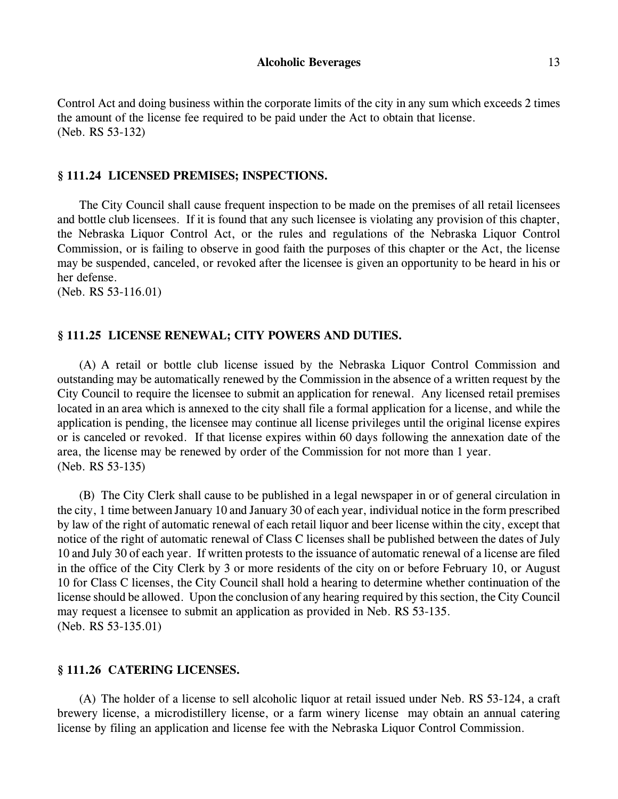Control Act and doing business within the corporate limits of the city in any sum which exceeds 2 times the amount of the license fee required to be paid under the Act to obtain that license. (Neb. RS 53-132)

#### **§ 111.24 LICENSED PREMISES; INSPECTIONS.**

The City Council shall cause frequent inspection to be made on the premises of all retail licensees and bottle club licensees. If it is found that any such licensee is violating any provision of this chapter, the Nebraska Liquor Control Act, or the rules and regulations of the Nebraska Liquor Control Commission, or is failing to observe in good faith the purposes of this chapter or the Act, the license may be suspended, canceled, or revoked after the licensee is given an opportunity to be heard in his or her defense.

(Neb. RS 53-116.01)

## **§ 111.25 LICENSE RENEWAL; CITY POWERS AND DUTIES.**

(A) A retail or bottle club license issued by the Nebraska Liquor Control Commission and outstanding may be automatically renewed by the Commission in the absence of a written request by the City Council to require the licensee to submit an application for renewal. Any licensed retail premises located in an area which is annexed to the city shall file a formal application for a license, and while the application is pending, the licensee may continue all license privileges until the original license expires or is canceled or revoked. If that license expires within 60 days following the annexation date of the area, the license may be renewed by order of the Commission for not more than 1 year. (Neb. RS 53-135)

(B) The City Clerk shall cause to be published in a legal newspaper in or of general circulation in the city, 1 time between January 10 and January 30 of each year, individual notice in the form prescribed by law of the right of automatic renewal of each retail liquor and beer license within the city, except that notice of the right of automatic renewal of Class C licenses shall be published between the dates of July 10 and July 30 of each year. If written protests to the issuance of automatic renewal of a license are filed in the office of the City Clerk by 3 or more residents of the city on or before February 10, or August 10 for Class C licenses, the City Council shall hold a hearing to determine whether continuation of the license should be allowed. Upon the conclusion of any hearing required by this section, the City Council may request a licensee to submit an application as provided in Neb. RS 53-135. (Neb. RS 53-135.01)

#### **§ 111.26 CATERING LICENSES.**

(A) The holder of a license to sell alcoholic liquor at retail issued under Neb. RS 53-124, a craft brewery license, a microdistillery license, or a farm winery license may obtain an annual catering license by filing an application and license fee with the Nebraska Liquor Control Commission.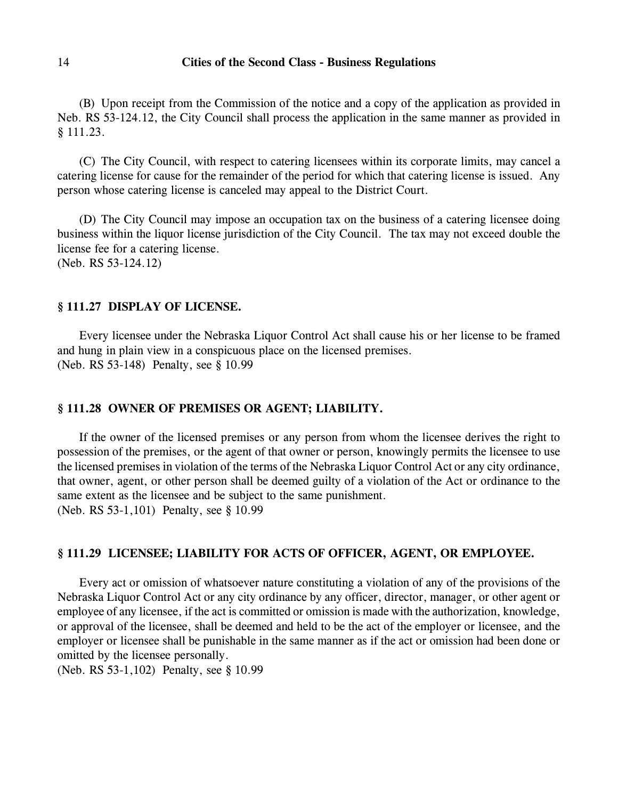(B) Upon receipt from the Commission of the notice and a copy of the application as provided in Neb. RS 53-124.12, the City Council shall process the application in the same manner as provided in § 111.23.

(C) The City Council, with respect to catering licensees within its corporate limits, may cancel a catering license for cause for the remainder of the period for which that catering license is issued. Any person whose catering license is canceled may appeal to the District Court.

(D) The City Council may impose an occupation tax on the business of a catering licensee doing business within the liquor license jurisdiction of the City Council. The tax may not exceed double the license fee for a catering license. (Neb. RS 53-124.12)

## **§ 111.27 DISPLAY OF LICENSE.**

Every licensee under the Nebraska Liquor Control Act shall cause his or her license to be framed and hung in plain view in a conspicuous place on the licensed premises. (Neb. RS 53-148) Penalty, see § 10.99

## **§ 111.28 OWNER OF PREMISES OR AGENT; LIABILITY.**

If the owner of the licensed premises or any person from whom the licensee derives the right to possession of the premises, or the agent of that owner or person, knowingly permits the licensee to use the licensed premises in violation of the terms of the Nebraska Liquor Control Act or any city ordinance, that owner, agent, or other person shall be deemed guilty of a violation of the Act or ordinance to the same extent as the licensee and be subject to the same punishment. (Neb. RS 53-1,101) Penalty, see § 10.99

#### **§ 111.29 LICENSEE; LIABILITY FOR ACTS OF OFFICER, AGENT, OR EMPLOYEE.**

Every act or omission of whatsoever nature constituting a violation of any of the provisions of the Nebraska Liquor Control Act or any city ordinance by any officer, director, manager, or other agent or employee of any licensee, if the act is committed or omission is made with the authorization, knowledge, or approval of the licensee, shall be deemed and held to be the act of the employer or licensee, and the employer or licensee shall be punishable in the same manner as if the act or omission had been done or omitted by the licensee personally.

(Neb. RS 53-1,102) Penalty, see § 10.99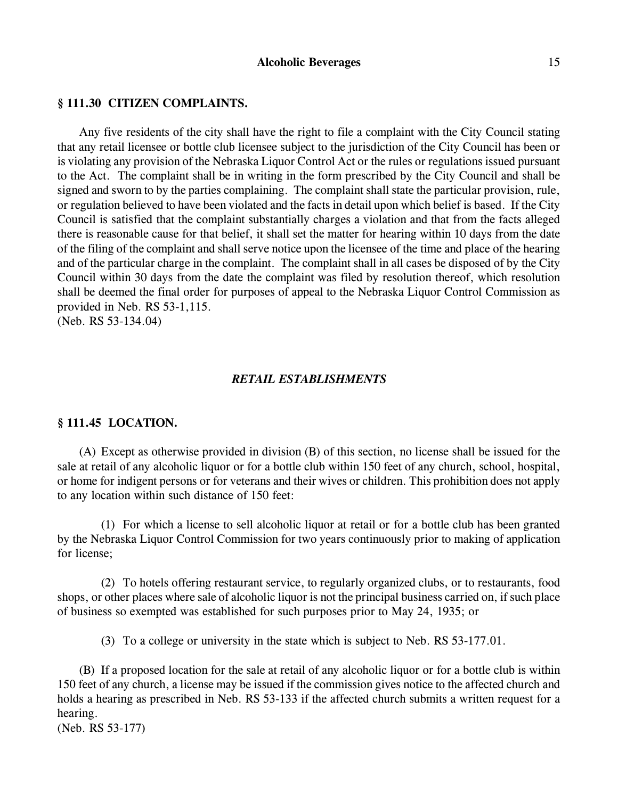#### **§ 111.30 CITIZEN COMPLAINTS.**

Any five residents of the city shall have the right to file a complaint with the City Council stating that any retail licensee or bottle club licensee subject to the jurisdiction of the City Council has been or is violating any provision of the Nebraska Liquor Control Act or the rules or regulations issued pursuant to the Act. The complaint shall be in writing in the form prescribed by the City Council and shall be signed and sworn to by the parties complaining. The complaint shall state the particular provision, rule, or regulation believed to have been violated and the facts in detail upon which belief is based. If the City Council is satisfied that the complaint substantially charges a violation and that from the facts alleged there is reasonable cause for that belief, it shall set the matter for hearing within 10 days from the date of the filing of the complaint and shall serve notice upon the licensee of the time and place of the hearing and of the particular charge in the complaint. The complaint shall in all cases be disposed of by the City Council within 30 days from the date the complaint was filed by resolution thereof, which resolution shall be deemed the final order for purposes of appeal to the Nebraska Liquor Control Commission as provided in Neb. RS 53-1,115.

(Neb. RS 53-134.04)

# *RETAIL ESTABLISHMENTS*

# **§ 111.45 LOCATION.**

(A) Except as otherwise provided in division (B) of this section, no license shall be issued for the sale at retail of any alcoholic liquor or for a bottle club within 150 feet of any church, school, hospital, or home for indigent persons or for veterans and their wives or children. This prohibition does not apply to any location within such distance of 150 feet:

(1) For which a license to sell alcoholic liquor at retail or for a bottle club has been granted by the Nebraska Liquor Control Commission for two years continuously prior to making of application for license;

(2) To hotels offering restaurant service, to regularly organized clubs, or to restaurants, food shops, or other places where sale of alcoholic liquor is not the principal business carried on, if such place of business so exempted was established for such purposes prior to May 24, 1935; or

(3) To a college or university in the state which is subject to Neb. RS 53-177.01.

(B) If a proposed location for the sale at retail of any alcoholic liquor or for a bottle club is within 150 feet of any church, a license may be issued if the commission gives notice to the affected church and holds a hearing as prescribed in Neb. RS 53-133 if the affected church submits a written request for a hearing.

(Neb. RS 53-177)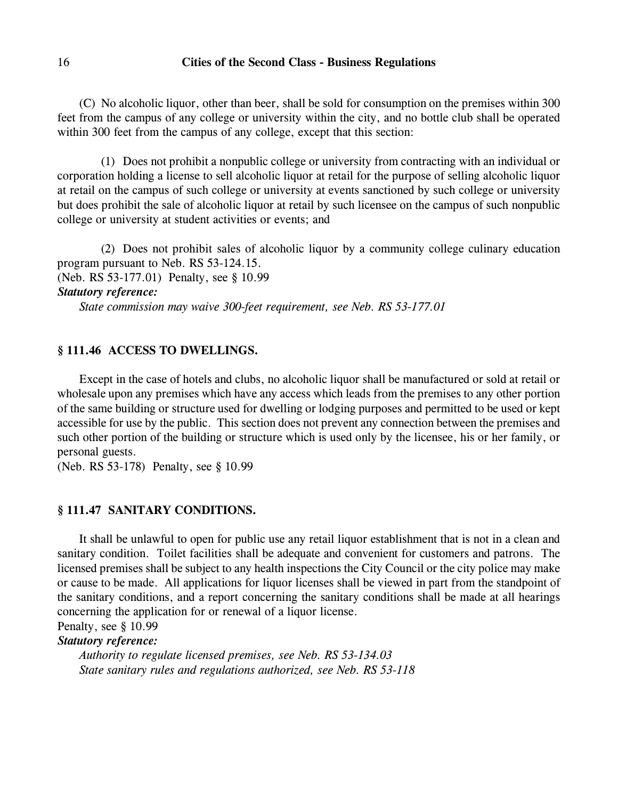(C) No alcoholic liquor, other than beer, shall be sold for consumption on the premises within 300 feet from the campus of any college or university within the city, and no bottle club shall be operated within 300 feet from the campus of any college, except that this section:

(1) Does not prohibit a nonpublic college or university from contracting with an individual or corporation holding a license to sell alcoholic liquor at retail for the purpose of selling alcoholic liquor at retail on the campus of such college or university at events sanctioned by such college or university but does prohibit the sale of alcoholic liquor at retail by such licensee on the campus of such nonpublic college or university at student activities or events; and

(2) Does not prohibit sales of alcoholic liquor by a community college culinary education program pursuant to Neb. RS 53-124.15. (Neb. RS 53-177.01) Penalty, see § 10.99

*Statutory reference:*

*State commission may waive 300-feet requirement, see Neb. RS 53-177.01* 

# **§ 111.46 ACCESS TO DWELLINGS.**

Except in the case of hotels and clubs, no alcoholic liquor shall be manufactured or sold at retail or wholesale upon any premises which have any access which leads from the premises to any other portion of the same building or structure used for dwelling or lodging purposes and permitted to be used or kept accessible for use by the public. This section does not prevent any connection between the premises and such other portion of the building or structure which is used only by the licensee, his or her family, or personal guests.

(Neb. RS 53-178) Penalty, see § 10.99

## **§ 111.47 SANITARY CONDITIONS.**

It shall be unlawful to open for public use any retail liquor establishment that is not in a clean and sanitary condition. Toilet facilities shall be adequate and convenient for customers and patrons. The licensed premises shall be subject to any health inspections the City Council or the city police may make or cause to be made. All applications for liquor licenses shall be viewed in part from the standpoint of the sanitary conditions, and a report concerning the sanitary conditions shall be made at all hearings concerning the application for or renewal of a liquor license.

Penalty, see § 10.99

# *Statutory reference:*

*Authority to regulate licensed premises, see Neb. RS 53-134.03 State sanitary rules and regulations authorized, see Neb. RS 53-118*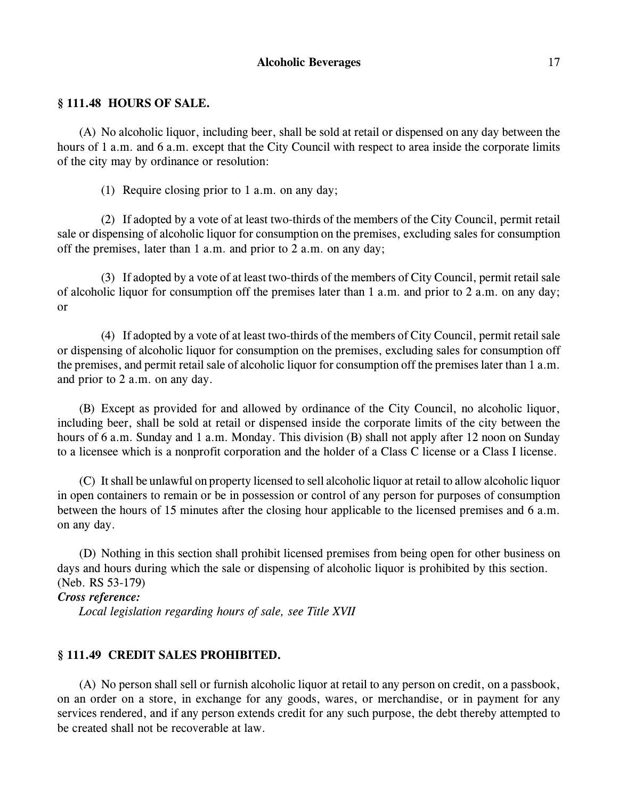# **Alcoholic Beverages** 17

## **§ 111.48 HOURS OF SALE.**

(A) No alcoholic liquor, including beer, shall be sold at retail or dispensed on any day between the hours of 1 a.m. and 6 a.m. except that the City Council with respect to area inside the corporate limits of the city may by ordinance or resolution:

(1) Require closing prior to 1 a.m. on any day;

(2) If adopted by a vote of at least two-thirds of the members of the City Council, permit retail sale or dispensing of alcoholic liquor for consumption on the premises, excluding sales for consumption off the premises, later than 1 a.m. and prior to 2 a.m. on any day;

(3) If adopted by a vote of at least two-thirds of the members of City Council, permit retail sale of alcoholic liquor for consumption off the premises later than 1 a.m. and prior to 2 a.m. on any day; or

(4) If adopted by a vote of at least two-thirds of the members of City Council, permit retail sale or dispensing of alcoholic liquor for consumption on the premises, excluding sales for consumption off the premises, and permit retail sale of alcoholic liquor for consumption off the premises later than 1 a.m. and prior to 2 a.m. on any day.

(B) Except as provided for and allowed by ordinance of the City Council, no alcoholic liquor, including beer, shall be sold at retail or dispensed inside the corporate limits of the city between the hours of 6 a.m. Sunday and 1 a.m. Monday. This division (B) shall not apply after 12 noon on Sunday to a licensee which is a nonprofit corporation and the holder of a Class C license or a Class I license.

(C) It shall be unlawful on property licensed to sell alcoholic liquor at retail to allow alcoholic liquor in open containers to remain or be in possession or control of any person for purposes of consumption between the hours of 15 minutes after the closing hour applicable to the licensed premises and 6 a.m. on any day.

(D) Nothing in this section shall prohibit licensed premises from being open for other business on days and hours during which the sale or dispensing of alcoholic liquor is prohibited by this section. (Neb. RS 53-179)

## *Cross reference:*

*Local legislation regarding hours of sale, see Title XVII*

# **§ 111.49 CREDIT SALES PROHIBITED.**

(A) No person shall sell or furnish alcoholic liquor at retail to any person on credit, on a passbook, on an order on a store, in exchange for any goods, wares, or merchandise, or in payment for any services rendered, and if any person extends credit for any such purpose, the debt thereby attempted to be created shall not be recoverable at law.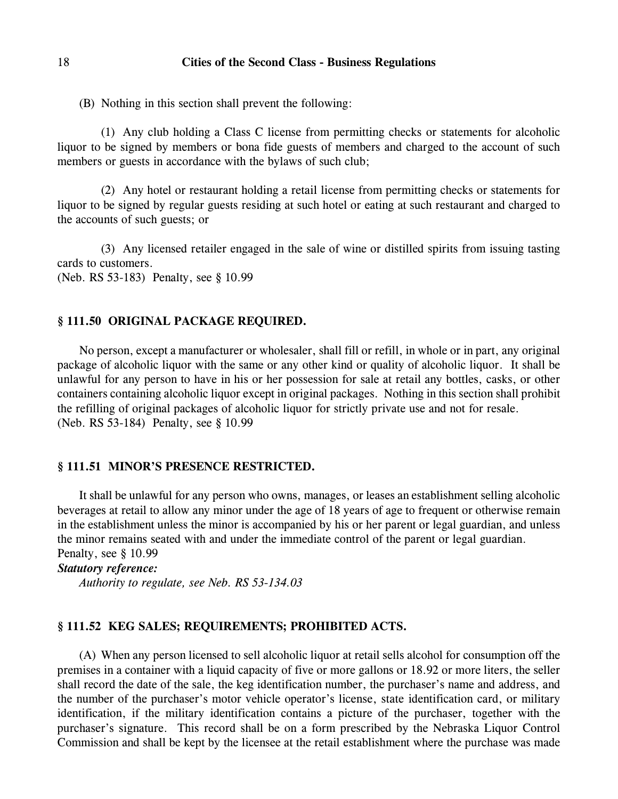(B) Nothing in this section shall prevent the following:

(1) Any club holding a Class C license from permitting checks or statements for alcoholic liquor to be signed by members or bona fide guests of members and charged to the account of such members or guests in accordance with the bylaws of such club;

(2) Any hotel or restaurant holding a retail license from permitting checks or statements for liquor to be signed by regular guests residing at such hotel or eating at such restaurant and charged to the accounts of such guests; or

(3) Any licensed retailer engaged in the sale of wine or distilled spirits from issuing tasting cards to customers. (Neb. RS 53-183) Penalty, see § 10.99

## **§ 111.50 ORIGINAL PACKAGE REQUIRED.**

No person, except a manufacturer or wholesaler, shall fill or refill, in whole or in part, any original package of alcoholic liquor with the same or any other kind or quality of alcoholic liquor. It shall be unlawful for any person to have in his or her possession for sale at retail any bottles, casks, or other containers containing alcoholic liquor except in original packages. Nothing in this section shall prohibit the refilling of original packages of alcoholic liquor for strictly private use and not for resale. (Neb. RS 53-184) Penalty, see § 10.99

# **§ 111.51 MINOR'S PRESENCE RESTRICTED.**

It shall be unlawful for any person who owns, manages, or leases an establishment selling alcoholic beverages at retail to allow any minor under the age of 18 years of age to frequent or otherwise remain in the establishment unless the minor is accompanied by his or her parent or legal guardian, and unless the minor remains seated with and under the immediate control of the parent or legal guardian. Penalty, see § 10.99

#### *Statutory reference:*

*Authority to regulate, see Neb. RS 53-134.03*

## **§ 111.52 KEG SALES; REQUIREMENTS; PROHIBITED ACTS.**

(A) When any person licensed to sell alcoholic liquor at retail sells alcohol for consumption off the premises in a container with a liquid capacity of five or more gallons or 18.92 or more liters, the seller shall record the date of the sale, the keg identification number, the purchaser's name and address, and the number of the purchaser's motor vehicle operator's license, state identification card, or military identification, if the military identification contains a picture of the purchaser, together with the purchaser's signature. This record shall be on a form prescribed by the Nebraska Liquor Control Commission and shall be kept by the licensee at the retail establishment where the purchase was made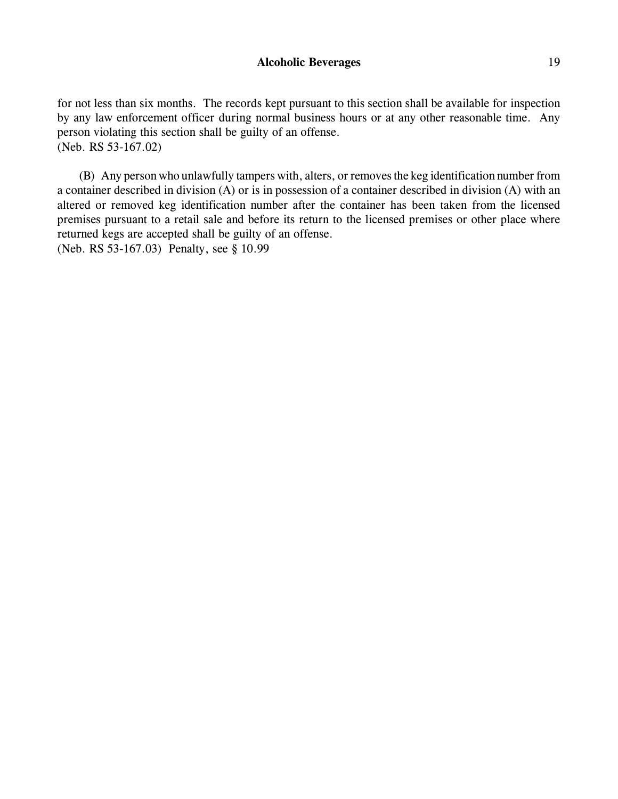for not less than six months. The records kept pursuant to this section shall be available for inspection by any law enforcement officer during normal business hours or at any other reasonable time. Any person violating this section shall be guilty of an offense. (Neb. RS 53-167.02)

(B) Any person who unlawfully tampers with, alters, or removes the keg identification number from a container described in division (A) or is in possession of a container described in division (A) with an altered or removed keg identification number after the container has been taken from the licensed premises pursuant to a retail sale and before its return to the licensed premises or other place where returned kegs are accepted shall be guilty of an offense. (Neb. RS 53-167.03) Penalty, see § 10.99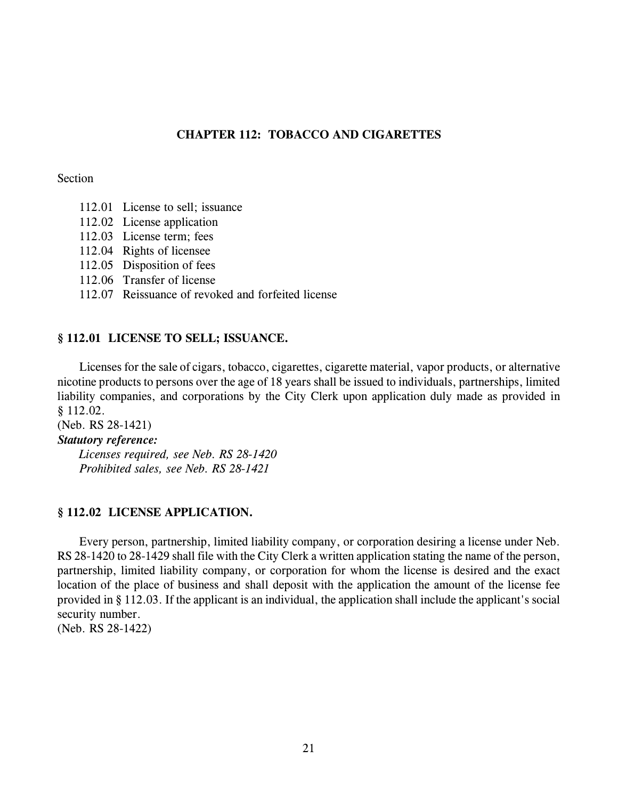# **CHAPTER 112: TOBACCO AND CIGARETTES**

## Section

- 112.01 License to sell; issuance
- 112.02 License application
- 112.03 License term; fees
- 112.04 Rights of licensee
- 112.05 Disposition of fees
- 112.06 Transfer of license
- 112.07 Reissuance of revoked and forfeited license

# **§ 112.01 LICENSE TO SELL; ISSUANCE.**

Licenses for the sale of cigars, tobacco, cigarettes, cigarette material, vapor products, or alternative nicotine products to persons over the age of 18 years shall be issued to individuals, partnerships, limited liability companies, and corporations by the City Clerk upon application duly made as provided in § 112.02.

(Neb. RS 28-1421)

# *Statutory reference:*

*Licenses required, see Neb. RS 28-1420 Prohibited sales, see Neb. RS 28-1421*

# **§ 112.02 LICENSE APPLICATION.**

Every person, partnership, limited liability company, or corporation desiring a license under Neb. RS 28-1420 to 28-1429 shall file with the City Clerk a written application stating the name of the person, partnership, limited liability company, or corporation for whom the license is desired and the exact location of the place of business and shall deposit with the application the amount of the license fee provided in § 112.03. If the applicant is an individual, the application shall include the applicant's social security number.

(Neb. RS 28-1422)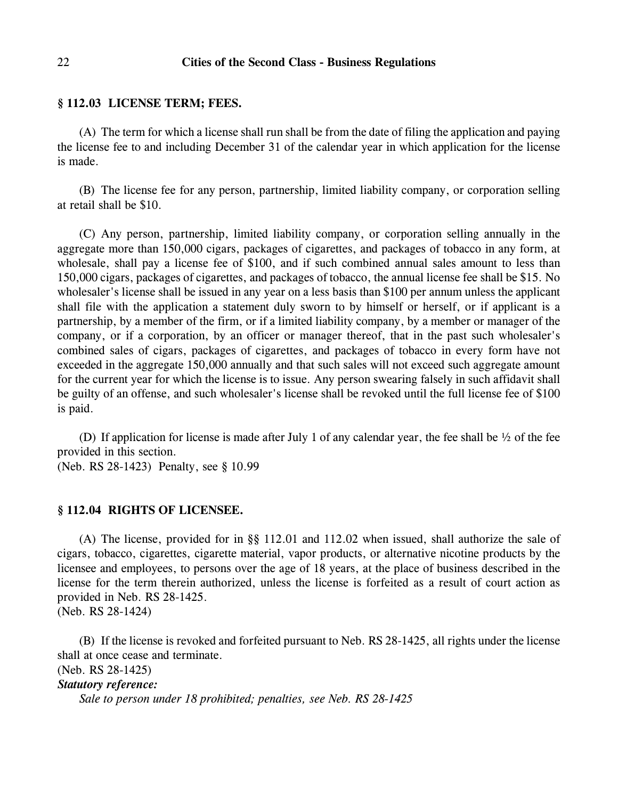#### **§ 112.03 LICENSE TERM; FEES.**

(A) The term for which a license shall run shall be from the date of filing the application and paying the license fee to and including December 31 of the calendar year in which application for the license is made.

(B) The license fee for any person, partnership, limited liability company, or corporation selling at retail shall be \$10.

(C) Any person, partnership, limited liability company, or corporation selling annually in the aggregate more than 150,000 cigars, packages of cigarettes, and packages of tobacco in any form, at wholesale, shall pay a license fee of \$100, and if such combined annual sales amount to less than 150,000 cigars, packages of cigarettes, and packages of tobacco, the annual license fee shall be \$15. No wholesaler's license shall be issued in any year on a less basis than \$100 per annum unless the applicant shall file with the application a statement duly sworn to by himself or herself, or if applicant is a partnership, by a member of the firm, or if a limited liability company, by a member or manager of the company, or if a corporation, by an officer or manager thereof, that in the past such wholesaler's combined sales of cigars, packages of cigarettes, and packages of tobacco in every form have not exceeded in the aggregate 150,000 annually and that such sales will not exceed such aggregate amount for the current year for which the license is to issue. Any person swearing falsely in such affidavit shall be guilty of an offense, and such wholesaler's license shall be revoked until the full license fee of \$100 is paid.

(D) If application for license is made after July 1 of any calendar year, the fee shall be ½ of the fee provided in this section.

(Neb. RS 28-1423) Penalty, see § 10.99

## **§ 112.04 RIGHTS OF LICENSEE.**

(A) The license, provided for in §§ 112.01 and 112.02 when issued, shall authorize the sale of cigars, tobacco, cigarettes, cigarette material, vapor products, or alternative nicotine products by the licensee and employees, to persons over the age of 18 years, at the place of business described in the license for the term therein authorized, unless the license is forfeited as a result of court action as provided in Neb. RS 28-1425.

(Neb. RS 28-1424)

(B) If the license is revoked and forfeited pursuant to Neb. RS 28-1425, all rights under the license shall at once cease and terminate.

(Neb. RS 28-1425)

*Statutory reference:*

*Sale to person under 18 prohibited; penalties, see Neb. RS 28-1425*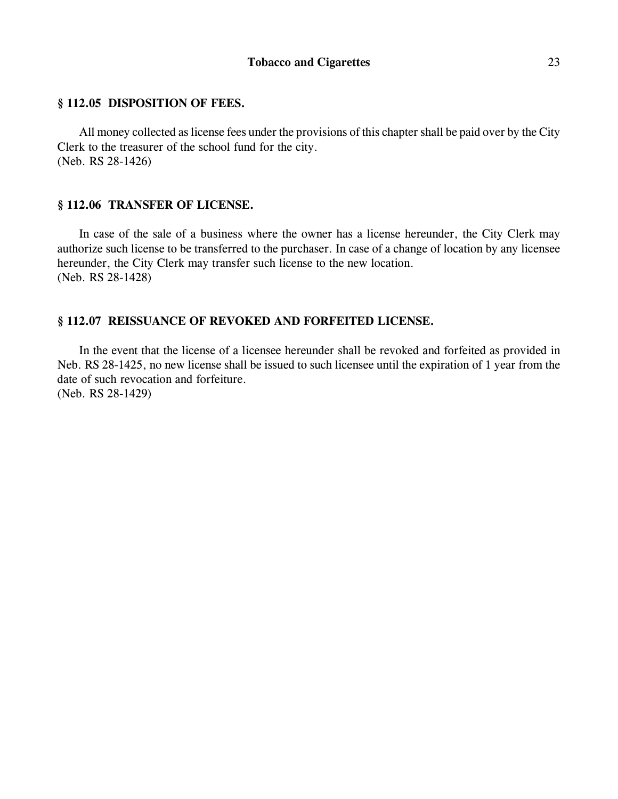# **§ 112.05 DISPOSITION OF FEES.**

All money collected as license fees under the provisions of this chapter shall be paid over by the City Clerk to the treasurer of the school fund for the city. (Neb. RS 28-1426)

# **§ 112.06 TRANSFER OF LICENSE.**

In case of the sale of a business where the owner has a license hereunder, the City Clerk may authorize such license to be transferred to the purchaser. In case of a change of location by any licensee hereunder, the City Clerk may transfer such license to the new location. (Neb. RS 28-1428)

# **§ 112.07 REISSUANCE OF REVOKED AND FORFEITED LICENSE.**

In the event that the license of a licensee hereunder shall be revoked and forfeited as provided in Neb. RS 28-1425, no new license shall be issued to such licensee until the expiration of 1 year from the date of such revocation and forfeiture. (Neb. RS 28-1429)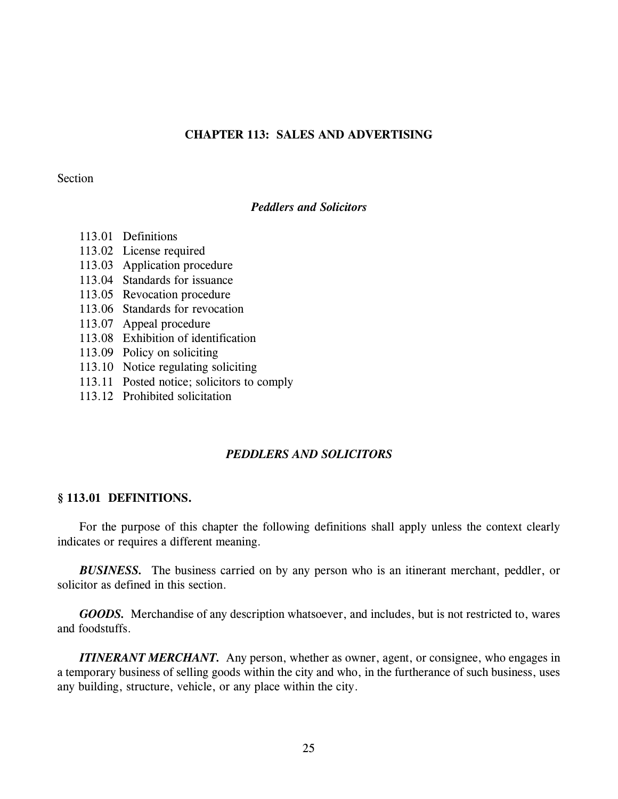# **CHAPTER 113: SALES AND ADVERTISING**

### Section

# *Peddlers and Solicitors*

- 113.01 Definitions
- 113.02 License required
- 113.03 Application procedure
- 113.04 Standards for issuance
- 113.05 Revocation procedure
- 113.06 Standards for revocation
- 113.07 Appeal procedure
- 113.08 Exhibition of identification
- 113.09 Policy on soliciting
- 113.10 Notice regulating soliciting
- 113.11 Posted notice; solicitors to comply
- 113.12 Prohibited solicitation

# *PEDDLERS AND SOLICITORS*

## **§ 113.01 DEFINITIONS.**

For the purpose of this chapter the following definitions shall apply unless the context clearly indicates or requires a different meaning.

*BUSINESS.* The business carried on by any person who is an itinerant merchant, peddler, or solicitor as defined in this section.

*GOODS.* Merchandise of any description whatsoever, and includes, but is not restricted to, wares and foodstuffs.

*ITINERANT MERCHANT.* Any person, whether as owner, agent, or consignee, who engages in a temporary business of selling goods within the city and who, in the furtherance of such business, uses any building, structure, vehicle, or any place within the city.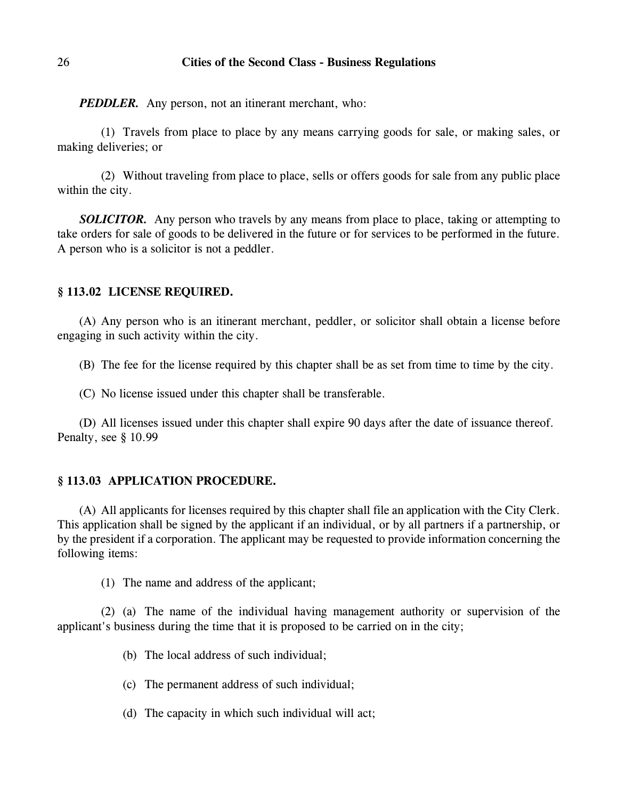*PEDDLER.* Any person, not an itinerant merchant, who:

(1) Travels from place to place by any means carrying goods for sale, or making sales, or making deliveries; or

(2) Without traveling from place to place, sells or offers goods for sale from any public place within the city.

**SOLICITOR.** Any person who travels by any means from place to place, taking or attempting to take orders for sale of goods to be delivered in the future or for services to be performed in the future. A person who is a solicitor is not a peddler.

# **§ 113.02 LICENSE REQUIRED.**

(A) Any person who is an itinerant merchant, peddler, or solicitor shall obtain a license before engaging in such activity within the city.

(B) The fee for the license required by this chapter shall be as set from time to time by the city.

(C) No license issued under this chapter shall be transferable.

(D) All licenses issued under this chapter shall expire 90 days after the date of issuance thereof. Penalty, see § 10.99

## **§ 113.03 APPLICATION PROCEDURE.**

(A) All applicants for licenses required by this chapter shall file an application with the City Clerk. This application shall be signed by the applicant if an individual, or by all partners if a partnership, or by the president if a corporation. The applicant may be requested to provide information concerning the following items:

(1) The name and address of the applicant;

(2) (a) The name of the individual having management authority or supervision of the applicant's business during the time that it is proposed to be carried on in the city;

- (b) The local address of such individual;
- (c) The permanent address of such individual;
- (d) The capacity in which such individual will act;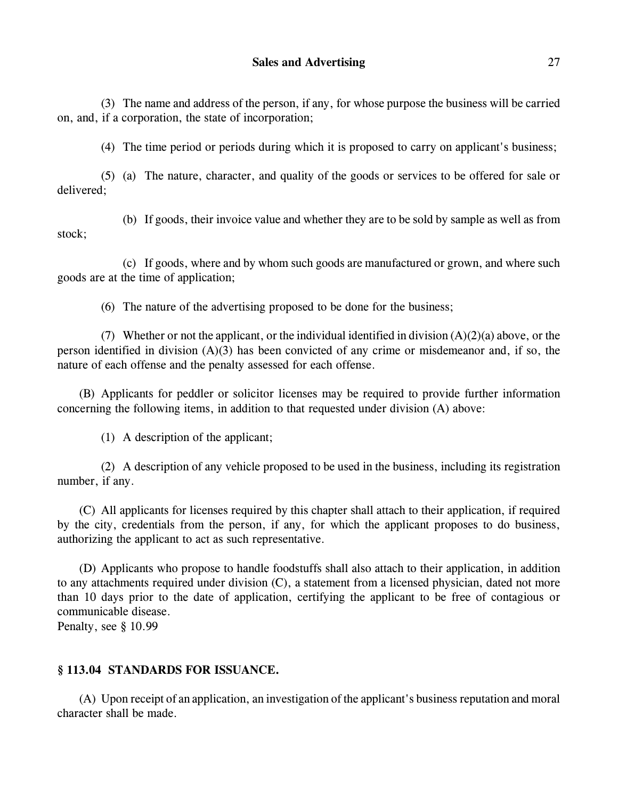(3) The name and address of the person, if any, for whose purpose the business will be carried on, and, if a corporation, the state of incorporation;

(4) The time period or periods during which it is proposed to carry on applicant's business;

(5) (a) The nature, character, and quality of the goods or services to be offered for sale or delivered;

(b) If goods, their invoice value and whether they are to be sold by sample as well as from stock;

(c) If goods, where and by whom such goods are manufactured or grown, and where such goods are at the time of application;

(6) The nature of the advertising proposed to be done for the business;

(7) Whether or not the applicant, or the individual identified in division  $(A)(2)(a)$  above, or the person identified in division (A)(3) has been convicted of any crime or misdemeanor and, if so, the nature of each offense and the penalty assessed for each offense.

(B) Applicants for peddler or solicitor licenses may be required to provide further information concerning the following items, in addition to that requested under division (A) above:

(1) A description of the applicant;

(2) A description of any vehicle proposed to be used in the business, including its registration number, if any.

(C) All applicants for licenses required by this chapter shall attach to their application, if required by the city, credentials from the person, if any, for which the applicant proposes to do business, authorizing the applicant to act as such representative.

(D) Applicants who propose to handle foodstuffs shall also attach to their application, in addition to any attachments required under division (C), a statement from a licensed physician, dated not more than 10 days prior to the date of application, certifying the applicant to be free of contagious or communicable disease.

Penalty, see § 10.99

# **§ 113.04 STANDARDS FOR ISSUANCE.**

(A) Upon receipt of an application, an investigation of the applicant's business reputation and moral character shall be made.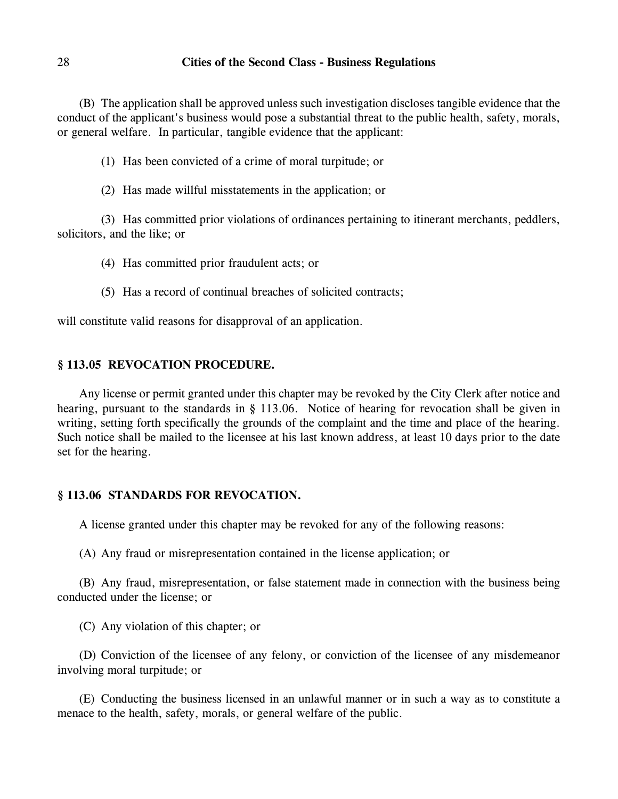(B) The application shall be approved unless such investigation discloses tangible evidence that the conduct of the applicant's business would pose a substantial threat to the public health, safety, morals, or general welfare. In particular, tangible evidence that the applicant:

(1) Has been convicted of a crime of moral turpitude; or

(2) Has made willful misstatements in the application; or

(3) Has committed prior violations of ordinances pertaining to itinerant merchants, peddlers, solicitors, and the like; or

(4) Has committed prior fraudulent acts; or

(5) Has a record of continual breaches of solicited contracts;

will constitute valid reasons for disapproval of an application.

# **§ 113.05 REVOCATION PROCEDURE.**

Any license or permit granted under this chapter may be revoked by the City Clerk after notice and hearing, pursuant to the standards in § 113.06. Notice of hearing for revocation shall be given in writing, setting forth specifically the grounds of the complaint and the time and place of the hearing. Such notice shall be mailed to the licensee at his last known address, at least 10 days prior to the date set for the hearing.

# **§ 113.06 STANDARDS FOR REVOCATION.**

A license granted under this chapter may be revoked for any of the following reasons:

(A) Any fraud or misrepresentation contained in the license application; or

(B) Any fraud, misrepresentation, or false statement made in connection with the business being conducted under the license; or

(C) Any violation of this chapter; or

(D) Conviction of the licensee of any felony, or conviction of the licensee of any misdemeanor involving moral turpitude; or

(E) Conducting the business licensed in an unlawful manner or in such a way as to constitute a menace to the health, safety, morals, or general welfare of the public.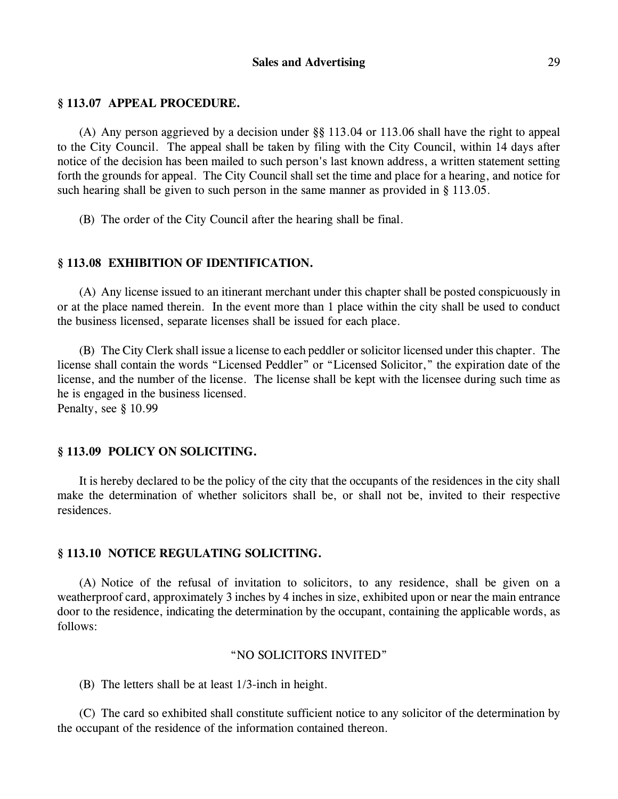## **§ 113.07 APPEAL PROCEDURE.**

(A) Any person aggrieved by a decision under §§ 113.04 or 113.06 shall have the right to appeal to the City Council. The appeal shall be taken by filing with the City Council, within 14 days after notice of the decision has been mailed to such person's last known address, a written statement setting forth the grounds for appeal. The City Council shall set the time and place for a hearing, and notice for such hearing shall be given to such person in the same manner as provided in § 113.05.

(B) The order of the City Council after the hearing shall be final.

# **§ 113.08 EXHIBITION OF IDENTIFICATION.**

(A) Any license issued to an itinerant merchant under this chapter shall be posted conspicuously in or at the place named therein. In the event more than 1 place within the city shall be used to conduct the business licensed, separate licenses shall be issued for each place.

(B) The City Clerk shall issue a license to each peddler or solicitor licensed under this chapter. The license shall contain the words "Licensed Peddler" or "Licensed Solicitor," the expiration date of the license, and the number of the license. The license shall be kept with the licensee during such time as he is engaged in the business licensed.

Penalty, see § 10.99

# **§ 113.09 POLICY ON SOLICITING.**

It is hereby declared to be the policy of the city that the occupants of the residences in the city shall make the determination of whether solicitors shall be, or shall not be, invited to their respective residences.

#### **§ 113.10 NOTICE REGULATING SOLICITING.**

(A) Notice of the refusal of invitation to solicitors, to any residence, shall be given on a weatherproof card, approximately 3 inches by 4 inches in size, exhibited upon or near the main entrance door to the residence, indicating the determination by the occupant, containing the applicable words, as follows:

### "NO SOLICITORS INVITED"

(B) The letters shall be at least 1/3-inch in height.

(C) The card so exhibited shall constitute sufficient notice to any solicitor of the determination by the occupant of the residence of the information contained thereon.